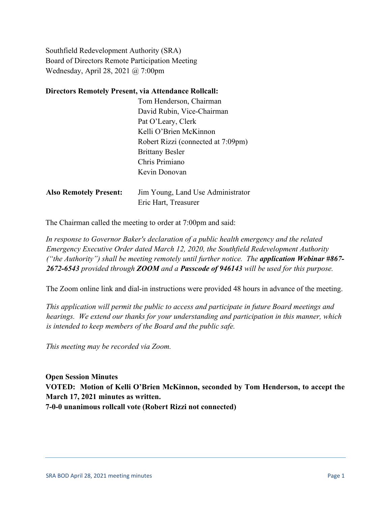Southfield Redevelopment Authority (SRA) Board of Directors Remote Participation Meeting Wednesday, April 28, 2021 @ 7:00pm

## **Directors Remotely Present, via Attendance Rollcall:**

|                               | Tom Henderson, Chairman            |
|-------------------------------|------------------------------------|
|                               | David Rubin, Vice-Chairman         |
|                               | Pat O'Leary, Clerk                 |
|                               | Kelli O'Brien McKinnon             |
|                               | Robert Rizzi (connected at 7:09pm) |
|                               | <b>Brittany Besler</b>             |
|                               | Chris Primiano                     |
|                               | Kevin Donovan                      |
|                               |                                    |
| <b>Also Remotely Present:</b> | Jim Young, Land Use Administrator  |
|                               | Eric Hart, Treasurer               |

The Chairman called the meeting to order at 7:00pm and said:

*In response to Governor Baker's declaration of a public health emergency and the related Emergency Executive Order dated March 12, 2020, the Southfield Redevelopment Authority ("the Authority") shall be meeting remotely until further notice. The application Webinar #867- 2672-6543 provided through ZOOM and a Passcode of 946143 will be used for this purpose.*

The Zoom online link and dial-in instructions were provided 48 hours in advance of the meeting.

*This application will permit the public to access and participate in future Board meetings and hearings. We extend our thanks for your understanding and participation in this manner, which is intended to keep members of the Board and the public safe.*

*This meeting may be recorded via Zoom.*

**Open Session Minutes VOTED: Motion of Kelli O'Brien McKinnon, seconded by Tom Henderson, to accept the March 17, 2021 minutes as written. 7-0-0 unanimous rollcall vote (Robert Rizzi not connected)**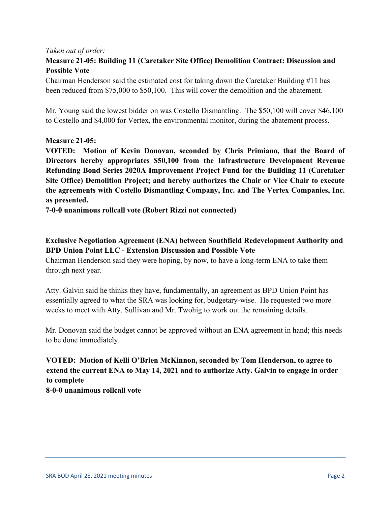## *Taken out of order:*

# **Measure 21-05: Building 11 (Caretaker Site Office) Demolition Contract: Discussion and Possible Vote**

Chairman Henderson said the estimated cost for taking down the Caretaker Building #11 has been reduced from \$75,000 to \$50,100. This will cover the demolition and the abatement.

Mr. Young said the lowest bidder on was Costello Dismantling. The \$50,100 will cover \$46,100 to Costello and \$4,000 for Vertex, the environmental monitor, during the abatement process.

## **Measure 21-05:**

**VOTED: Motion of Kevin Donovan, seconded by Chris Primiano, that the Board of Directors hereby appropriates \$50,100 from the Infrastructure Development Revenue Refunding Bond Series 2020A Improvement Project Fund for the Building 11 (Caretaker Site Office) Demolition Project; and hereby authorizes the Chair or Vice Chair to execute the agreements with Costello Dismantling Company, Inc. and The Vertex Companies, Inc. as presented.** 

**7-0-0 unanimous rollcall vote (Robert Rizzi not connected)**

# **Exclusive Negotiation Agreement (ENA) between Southfield Redevelopment Authority and BPD Union Point LLC - Extension Discussion and Possible Vote**

Chairman Henderson said they were hoping, by now, to have a long-term ENA to take them through next year.

Atty. Galvin said he thinks they have, fundamentally, an agreement as BPD Union Point has essentially agreed to what the SRA was looking for, budgetary-wise. He requested two more weeks to meet with Atty. Sullivan and Mr. Twohig to work out the remaining details.

Mr. Donovan said the budget cannot be approved without an ENA agreement in hand; this needs to be done immediately.

# **VOTED: Motion of Kelli O'Brien McKinnon, seconded by Tom Henderson, to agree to extend the current ENA to May 14, 2021 and to authorize Atty. Galvin to engage in order to complete 8-0-0 unanimous rollcall vote**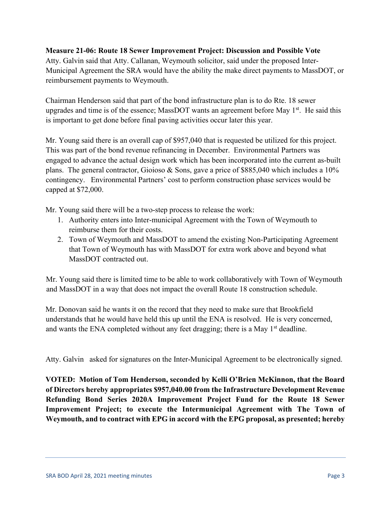## **Measure 21-06: Route 18 Sewer Improvement Project: Discussion and Possible Vote**

Atty. Galvin said that Atty. Callanan, Weymouth solicitor, said under the proposed Inter-Municipal Agreement the SRA would have the ability the make direct payments to MassDOT, or reimbursement payments to Weymouth.

Chairman Henderson said that part of the bond infrastructure plan is to do Rte. 18 sewer upgrades and time is of the essence; MassDOT wants an agreement before May  $1<sup>st</sup>$ . He said this is important to get done before final paving activities occur later this year.

Mr. Young said there is an overall cap of \$957,040 that is requested be utilized for this project. This was part of the bond revenue refinancing in December. Environmental Partners was engaged to advance the actual design work which has been incorporated into the current as-built plans. The general contractor, Gioioso & Sons, gave a price of \$885,040 which includes a 10% contingency. Environmental Partners' cost to perform construction phase services would be capped at \$72,000.

Mr. Young said there will be a two-step process to release the work:

- 1. Authority enters into Inter-municipal Agreement with the Town of Weymouth to reimburse them for their costs.
- 2. Town of Weymouth and MassDOT to amend the existing Non-Participating Agreement that Town of Weymouth has with MassDOT for extra work above and beyond what MassDOT contracted out.

Mr. Young said there is limited time to be able to work collaboratively with Town of Weymouth and MassDOT in a way that does not impact the overall Route 18 construction schedule.

Mr. Donovan said he wants it on the record that they need to make sure that Brookfield understands that he would have held this up until the ENA is resolved. He is very concerned, and wants the ENA completed without any feet dragging; there is a May  $1<sup>st</sup>$  deadline.

Atty. Galvin asked for signatures on the Inter-Municipal Agreement to be electronically signed.

**VOTED: Motion of Tom Henderson, seconded by Kelli O'Brien McKinnon, that the Board of Directors hereby appropriates \$957,040.00 from the Infrastructure Development Revenue Refunding Bond Series 2020A Improvement Project Fund for the Route 18 Sewer Improvement Project; to execute the Intermunicipal Agreement with The Town of Weymouth, and to contract with EPG in accord with the EPG proposal, as presented; hereby**